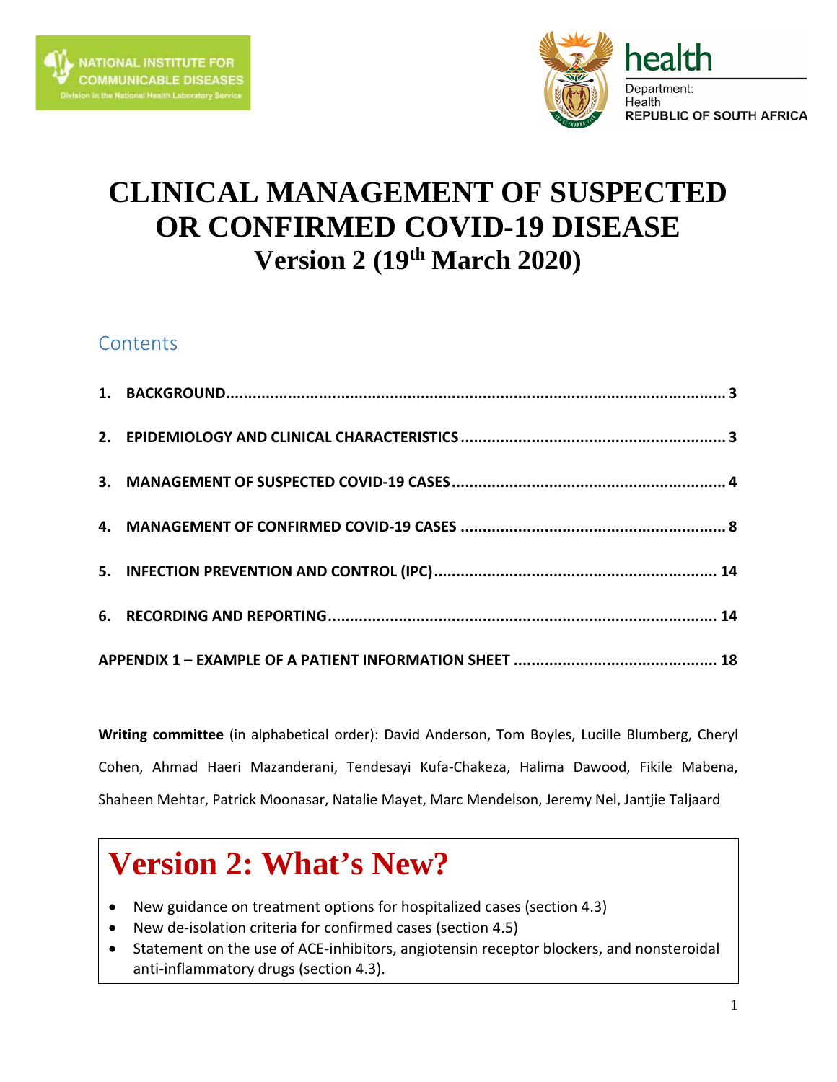



## **CLINICAL MANAGEMENT OF SUSPECTED OR CONFIRMED COVID-19 DISEASE Version 2 (19th March 2020)**

## **Contents**

**Writing committee** (in alphabetical order): David Anderson, Tom Boyles, Lucille Blumberg, Cheryl Cohen, Ahmad Haeri Mazanderani, Tendesayi Kufa-Chakeza, Halima Dawood, Fikile Mabena, Shaheen Mehtar, Patrick Moonasar, Natalie Mayet, Marc Mendelson, Jeremy Nel, Jantjie Taljaard

# **Version 2: What's New?**

- New guidance on treatment options for hospitalized cases (section 4.3)
- New de-isolation criteria for confirmed cases (section 4.5)
- Statement on the use of ACE-inhibitors, angiotensin receptor blockers, and nonsteroidal anti-inflammatory drugs (section 4.3).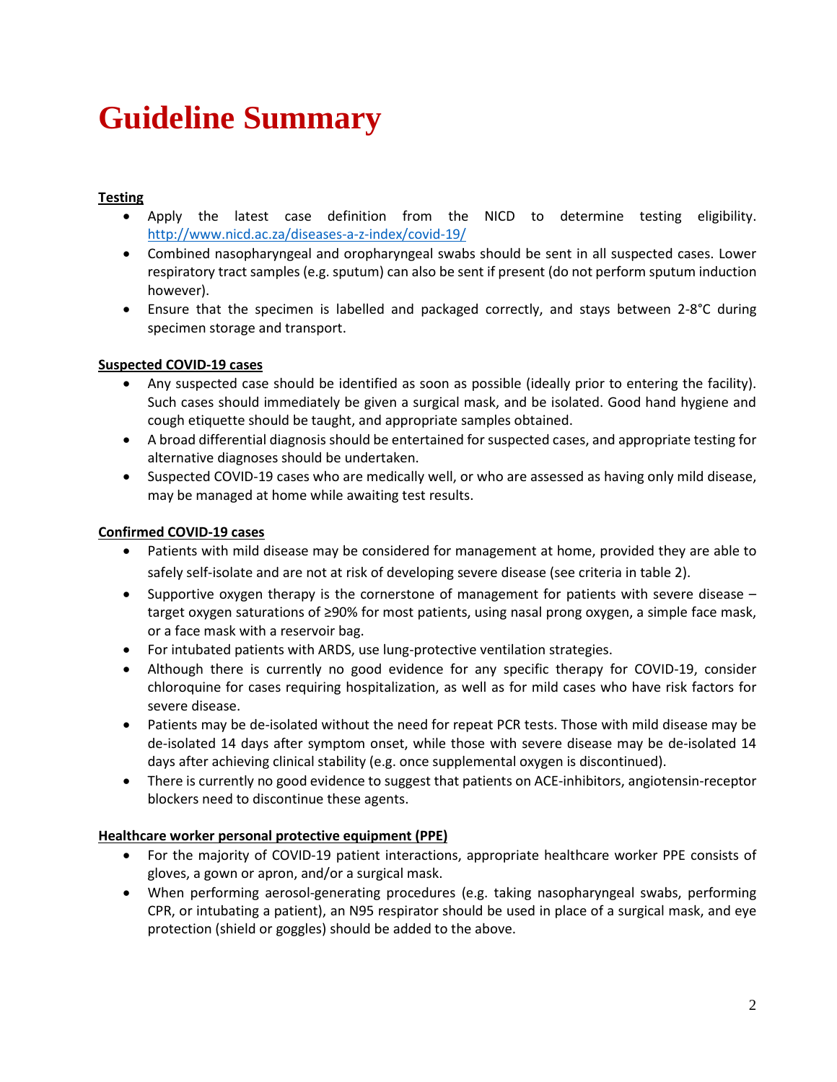# **Guideline Summary**

#### **Testing**

- Apply the latest case definition from the NICD to determine testing eligibility. <http://www.nicd.ac.za/diseases-a-z-index/covid-19/>
- Combined nasopharyngeal and oropharyngeal swabs should be sent in all suspected cases. Lower respiratory tract samples (e.g. sputum) can also be sent if present (do not perform sputum induction however).
- Ensure that the specimen is labelled and packaged correctly, and stays between 2-8°C during specimen storage and transport.

#### **Suspected COVID-19 cases**

- Any suspected case should be identified as soon as possible (ideally prior to entering the facility). Such cases should immediately be given a surgical mask, and be isolated. Good hand hygiene and cough etiquette should be taught, and appropriate samples obtained.
- A broad differential diagnosis should be entertained for suspected cases, and appropriate testing for alternative diagnoses should be undertaken.
- Suspected COVID-19 cases who are medically well, or who are assessed as having only mild disease, may be managed at home while awaiting test results.

#### **Confirmed COVID-19 cases**

- Patients with mild disease may be considered for management at home, provided they are able to safely self-isolate and are not at risk of developing severe disease (see criteria in table 2).
- Supportive oxygen therapy is the cornerstone of management for patients with severe disease target oxygen saturations of ≥90% for most patients, using nasal prong oxygen, a simple face mask, or a face mask with a reservoir bag.
- For intubated patients with ARDS, use lung-protective ventilation strategies.
- Although there is currently no good evidence for any specific therapy for COVID-19, consider chloroquine for cases requiring hospitalization, as well as for mild cases who have risk factors for severe disease.
- Patients may be de-isolated without the need for repeat PCR tests. Those with mild disease may be de-isolated 14 days after symptom onset, while those with severe disease may be de-isolated 14 days after achieving clinical stability (e.g. once supplemental oxygen is discontinued).
- There is currently no good evidence to suggest that patients on ACE-inhibitors, angiotensin-receptor blockers need to discontinue these agents.

#### **Healthcare worker personal protective equipment (PPE)**

- For the majority of COVID-19 patient interactions, appropriate healthcare worker PPE consists of gloves, a gown or apron, and/or a surgical mask.
- When performing aerosol-generating procedures (e.g. taking nasopharyngeal swabs, performing CPR, or intubating a patient), an N95 respirator should be used in place of a surgical mask, and eye protection (shield or goggles) should be added to the above.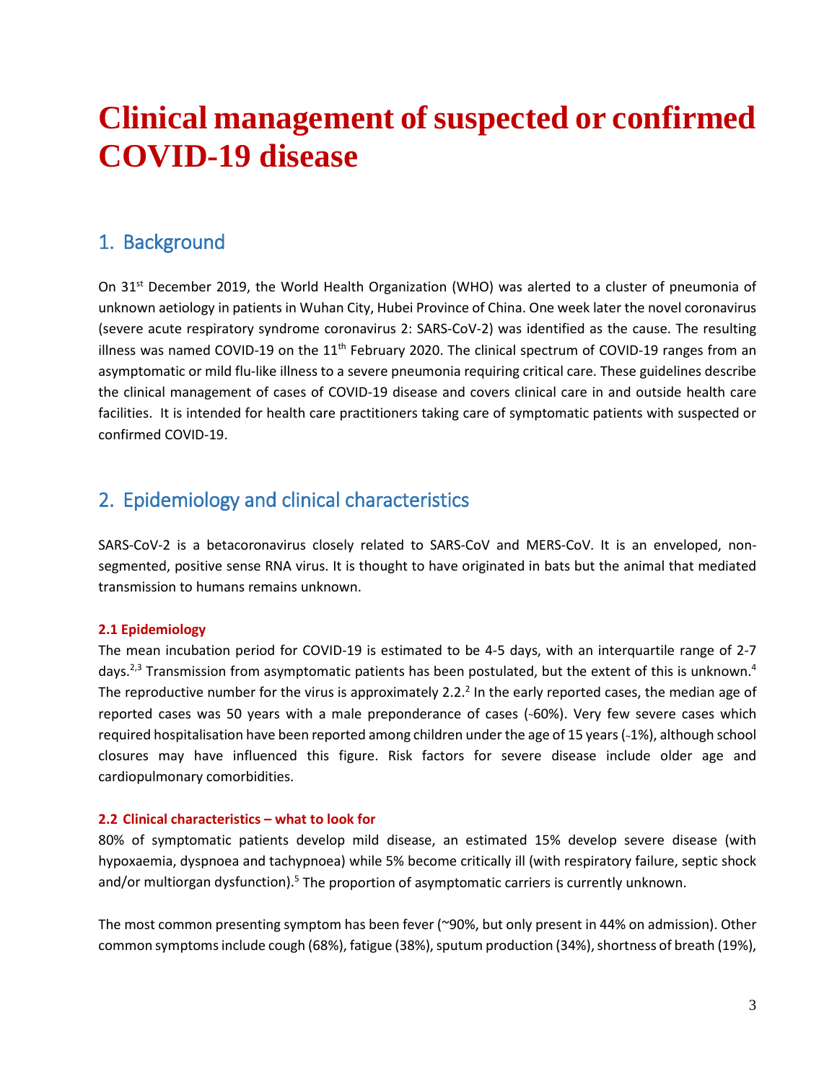## **Clinical management of suspected or confirmed COVID-19 disease**

### <span id="page-2-0"></span>1. Background

On 31st December 2019, the World Health Organization (WHO) was alerted to a cluster of pneumonia of unknown aetiology in patients in Wuhan City, Hubei Province of China. One week later the novel coronavirus (severe acute respiratory syndrome coronavirus 2: SARS-CoV-2) was identified as the cause. The resulting illness was named COVID-19 on the  $11<sup>th</sup>$  February 2020. The clinical spectrum of COVID-19 ranges from an asymptomatic or mild flu-like illness to a severe pneumonia requiring critical care. These guidelines describe the clinical management of cases of COVID-19 disease and covers clinical care in and outside health care facilities. It is intended for health care practitioners taking care of symptomatic patients with suspected or confirmed COVID-19.

### <span id="page-2-1"></span>2. Epidemiology and clinical characteristics

SARS-CoV-2 is a betacoronavirus closely related to SARS-CoV and MERS-CoV. It is an enveloped, nonsegmented, positive sense RNA virus. It is thought to have originated in bats but the animal that mediated transmission to humans remains unknown.

#### **2.1 Epidemiology**

The mean incubation period for COVID-19 is estimated to be 4-5 days, with an interquartile range of 2-7 days.<sup>2,3</sup> Transmission from asymptomatic patients has been postulated, but the extent of this is unknown.<sup>4</sup> The reproductive number for the virus is approximately 2.2.<sup>2</sup> In the early reported cases, the median age of reported cases was 50 years with a male preponderance of cases (~60%). Very few severe cases which required hospitalisation have been reported among children under the age of 15 years (~1%), although school closures may have influenced this figure. Risk factors for severe disease include older age and cardiopulmonary comorbidities.

#### **2.2 Clinical characteristics – what to look for**

80% of symptomatic patients develop mild disease, an estimated 15% develop severe disease (with hypoxaemia, dyspnoea and tachypnoea) while 5% become critically ill (with respiratory failure, septic shock and/or multiorgan dysfunction).<sup>5</sup> The proportion of asymptomatic carriers is currently unknown.

The most common presenting symptom has been fever (~90%, but only present in 44% on admission). Other common symptoms include cough (68%), fatigue (38%), sputum production (34%), shortness of breath (19%),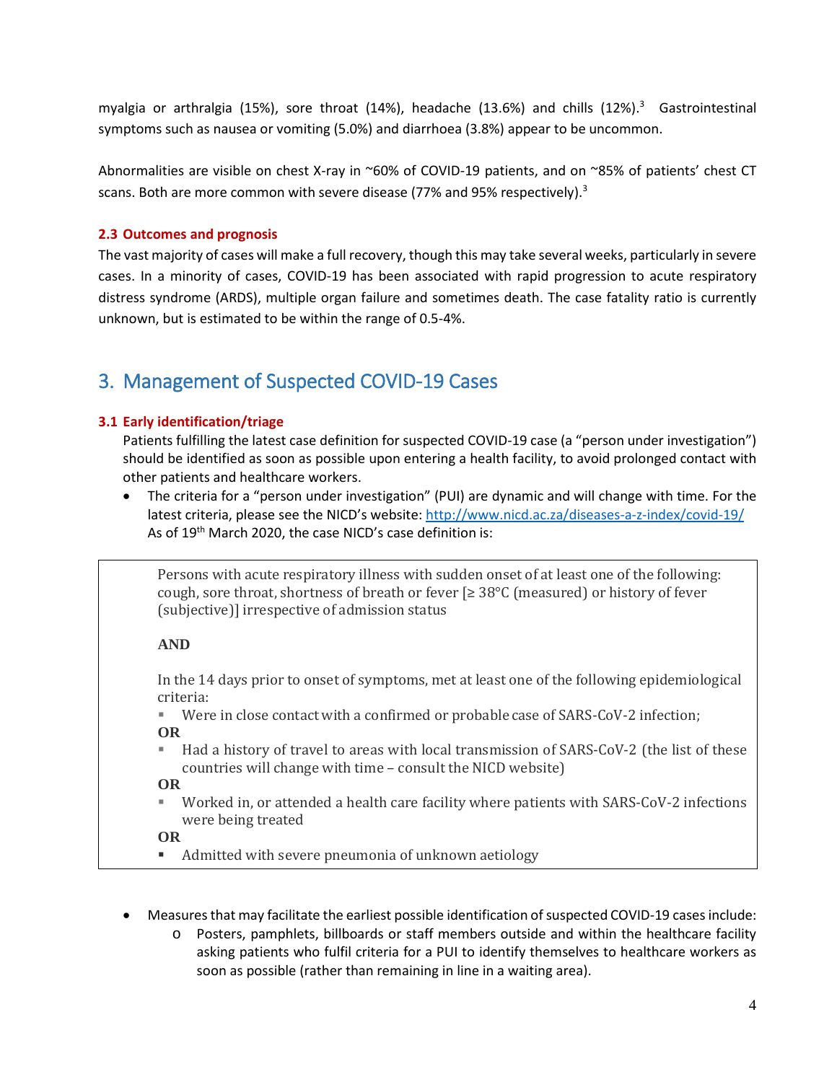myalgia or arthralgia (15%), sore throat (14%), headache (13.6%) and chills (12%). <sup>3</sup> Gastrointestinal symptoms such as nausea or vomiting (5.0%) and diarrhoea (3.8%) appear to be uncommon.

Abnormalities are visible on chest X-ray in ~60% of COVID-19 patients, and on ~85% of patients' chest CT scans. Both are more common with severe disease (77% and 95% respectively).<sup>3</sup>

#### **2.3 Outcomes and prognosis**

The vast majority of cases will make a full recovery, though this may take several weeks, particularly in severe cases. In a minority of cases, COVID-19 has been associated with rapid progression to acute respiratory distress syndrome (ARDS), multiple organ failure and sometimes death. The case fatality ratio is currently unknown, but is estimated to be within the range of 0.5-4%.

### <span id="page-3-0"></span>3. Management of Suspected COVID-19 Cases

#### **3.1 Early identification/triage**

Patients fulfilling the latest case definition for suspected COVID-19 case (a "person under investigation") should be identified as soon as possible upon entering a health facility, to avoid prolonged contact with other patients and healthcare workers.

• The criteria for a "person under investigation" (PUI) are dynamic and will change with time. For the latest criteria, please see the NICD's website[: http://www.nicd.ac.za/diseases-a-z-index/covid-19/](http://www.nicd.ac.za/diseases-a-z-index/covid-19/) As of 19<sup>th</sup> March 2020, the case NICD's case definition is:

Persons with acute respiratory illness with sudden onset of at least one of the following: cough, sore throat, shortness of breath or fever  $\lceil\geq 38^{\circ}\text{C}$  (measured) or history of fever (subjective)] irrespective of admission status

#### **AND**

In the 14 days prior to onset of symptoms, met at least one of the following epidemiological criteria:<br>Wer

- Were in close contact with a confirmed or probable case of SARS-CoV-2 infection; **OR**
- Had a history of travel to areas with local transmission of SARS-CoV-2 (the list of these countries will change with time – consult the NICD website)

**OR**

 Worked in, or attended a health care facility where patients with SARS-CoV-2 infections were being treated

**OR**

- Admitted with severe pneumonia of unknown aetiology
- Measures that may facilitate the earliest possible identification of suspected COVID-19 cases include:
	- o Posters, pamphlets, billboards or staff members outside and within the healthcare facility asking patients who fulfil criteria for a PUI to identify themselves to healthcare workers as soon as possible (rather than remaining in line in a waiting area).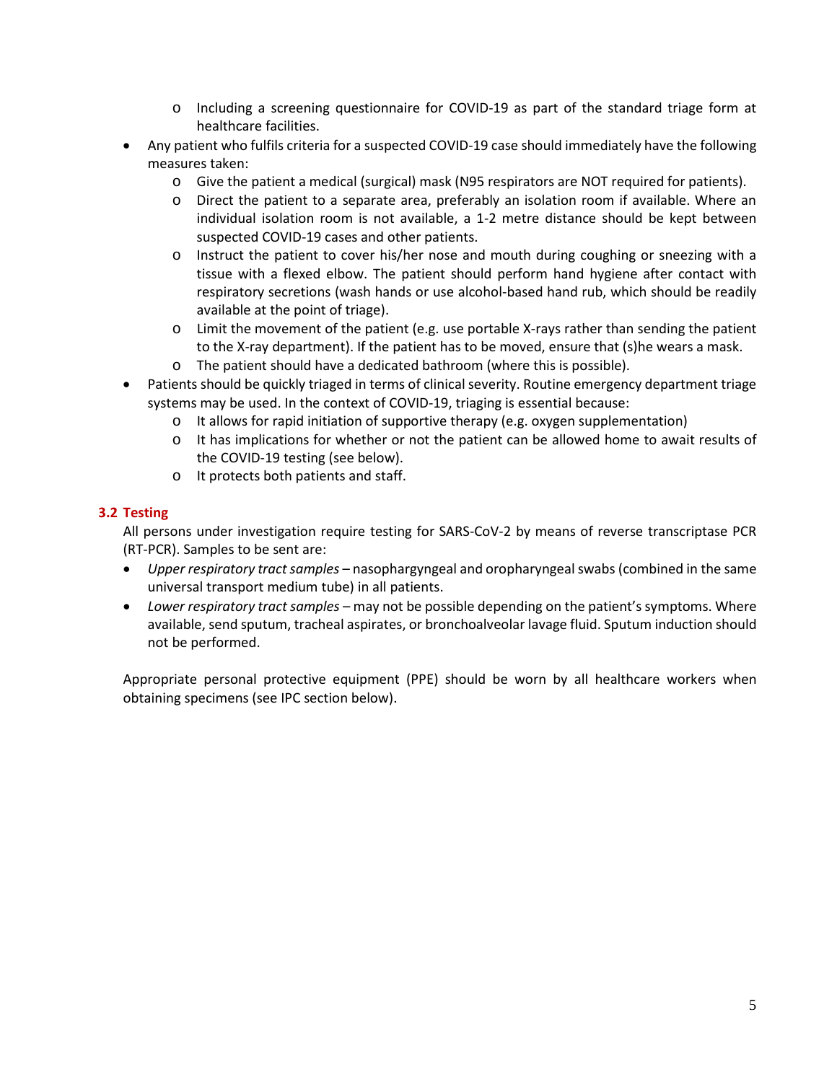- o Including a screening questionnaire for COVID-19 as part of the standard triage form at healthcare facilities.
- Any patient who fulfils criteria for a suspected COVID-19 case should immediately have the following measures taken:
	- o Give the patient a medical (surgical) mask (N95 respirators are NOT required for patients).
	- o Direct the patient to a separate area, preferably an isolation room if available. Where an individual isolation room is not available, a 1-2 metre distance should be kept between suspected COVID-19 cases and other patients.
	- o Instruct the patient to cover his/her nose and mouth during coughing or sneezing with a tissue with a flexed elbow. The patient should perform hand hygiene after contact with respiratory secretions (wash hands or use alcohol-based hand rub, which should be readily available at the point of triage).
	- o Limit the movement of the patient (e.g. use portable X-rays rather than sending the patient to the X-ray department). If the patient has to be moved, ensure that (s)he wears a mask.
	- o The patient should have a dedicated bathroom (where this is possible).
- Patients should be quickly triaged in terms of clinical severity. Routine emergency department triage systems may be used. In the context of COVID-19, triaging is essential because:
	- $\circ$  It allows for rapid initiation of supportive therapy (e.g. oxygen supplementation)
	- o It has implications for whether or not the patient can be allowed home to await results of the COVID-19 testing (see below).
	- o It protects both patients and staff.

#### **3.2 Testing**

All persons under investigation require testing for SARS-CoV-2 by means of reverse transcriptase PCR (RT-PCR). Samples to be sent are:

- *Upper respiratory tract samples* nasophargyngeal and oropharyngeal swabs (combined in the same universal transport medium tube) in all patients.
- *Lower respiratory tract samples* may not be possible depending on the patient's symptoms. Where available, send sputum, tracheal aspirates, or bronchoalveolar lavage fluid. Sputum induction should not be performed.

Appropriate personal protective equipment (PPE) should be worn by all healthcare workers when obtaining specimens (see IPC section below).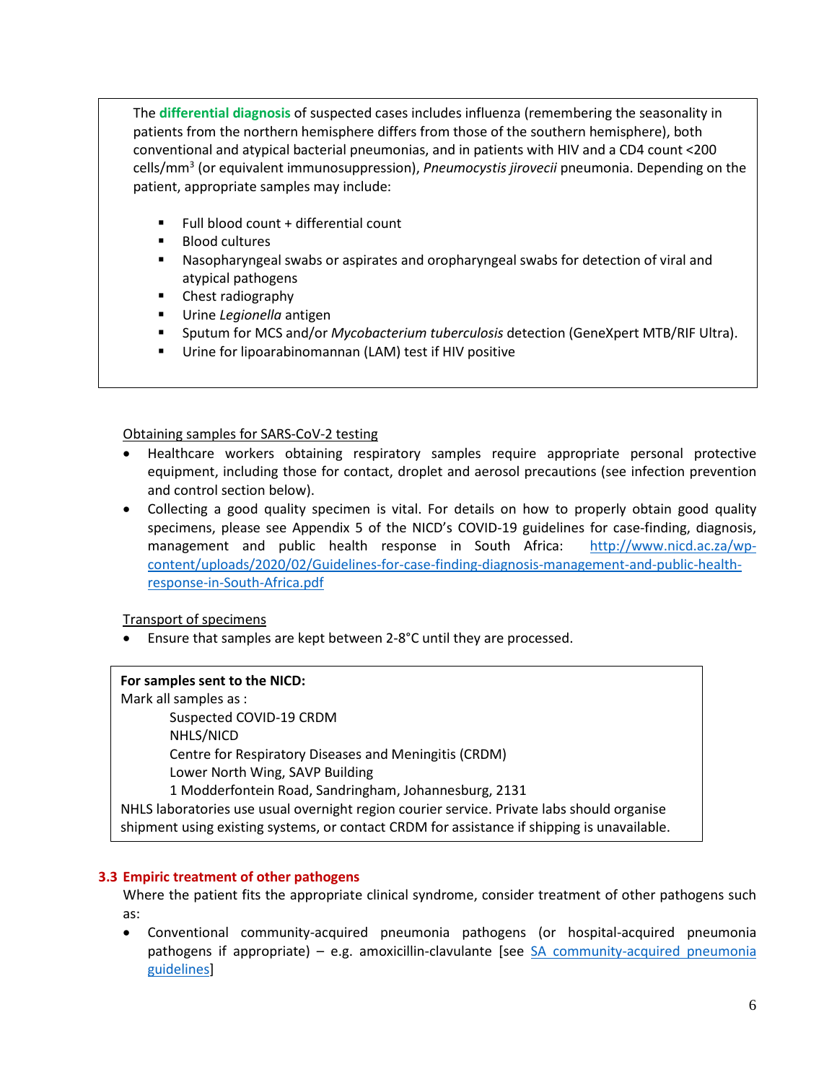The **differential diagnosis** of suspected cases includes influenza (remembering the seasonality in patients from the northern hemisphere differs from those of the southern hemisphere), both conventional and atypical bacterial pneumonias, and in patients with HIV and a CD4 count <200 cells/mm3 (or equivalent immunosuppression), *Pneumocystis jirovecii* pneumonia. Depending on the patient, appropriate samples may include:

- Full blood count + differential count
- **Blood cultures**
- Nasopharyngeal swabs or aspirates and oropharyngeal swabs for detection of viral and atypical pathogens
- **E** Chest radiography
- Urine *Legionella* antigen
- Sputum for MCS and/or *Mycobacterium tuberculosis* detection (GeneXpert MTB/RIF Ultra).
- Urine for lipoarabinomannan (LAM) test if HIV positive

Obtaining samples for SARS-CoV-2 testing

- Healthcare workers obtaining respiratory samples require appropriate personal protective equipment, including those for contact, droplet and aerosol precautions (see infection prevention and control section below).
- Collecting a good quality specimen is vital. For details on how to properly obtain good quality specimens, please see Appendix 5 of the NICD's COVID-19 guidelines for case-finding, diagnosis, management and public health response in South Africa: [http://www.nicd.ac.za/wp](http://www.nicd.ac.za/wp-content/uploads/2020/02/Guidelines-for-case-finding-diagnosis-management-and-public-health-response-in-South-Africa.pdf)[content/uploads/2020/02/Guidelines-for-case-finding-diagnosis-management-and-public-health](http://www.nicd.ac.za/wp-content/uploads/2020/02/Guidelines-for-case-finding-diagnosis-management-and-public-health-response-in-South-Africa.pdf)[response-in-South-Africa.pdf](http://www.nicd.ac.za/wp-content/uploads/2020/02/Guidelines-for-case-finding-diagnosis-management-and-public-health-response-in-South-Africa.pdf)

Transport of specimens

• Ensure that samples are kept between 2-8°C until they are processed.

#### **For samples sent to the NICD:**

Mark all samples as : Suspected COVID-19 CRDM NHLS/NICD Centre for Respiratory Diseases and Meningitis (CRDM) Lower North Wing, SAVP Building 1 Modderfontein Road, Sandringham, Johannesburg, 2131 NHLS laboratories use usual overnight region courier service. Private labs should organise shipment using existing systems, or contact CRDM for assistance if shipping is unavailable.

#### **3.3 Empiric treatment of other pathogens**

Where the patient fits the appropriate clinical syndrome, consider treatment of other pathogens such as:

• Conventional community-acquired pneumonia pathogens (or hospital-acquired pneumonia pathogens if appropriate) – e.g. amoxicillin-clavulante [see [SA community-acquired pneumonia](https://www.fidssa.co.za/Content/Documents/Boyles-et-al-SA-CAP-Guideline-J-Thoracic-Diseases-2017.pdf)  [guidelines\]](https://www.fidssa.co.za/Content/Documents/Boyles-et-al-SA-CAP-Guideline-J-Thoracic-Diseases-2017.pdf)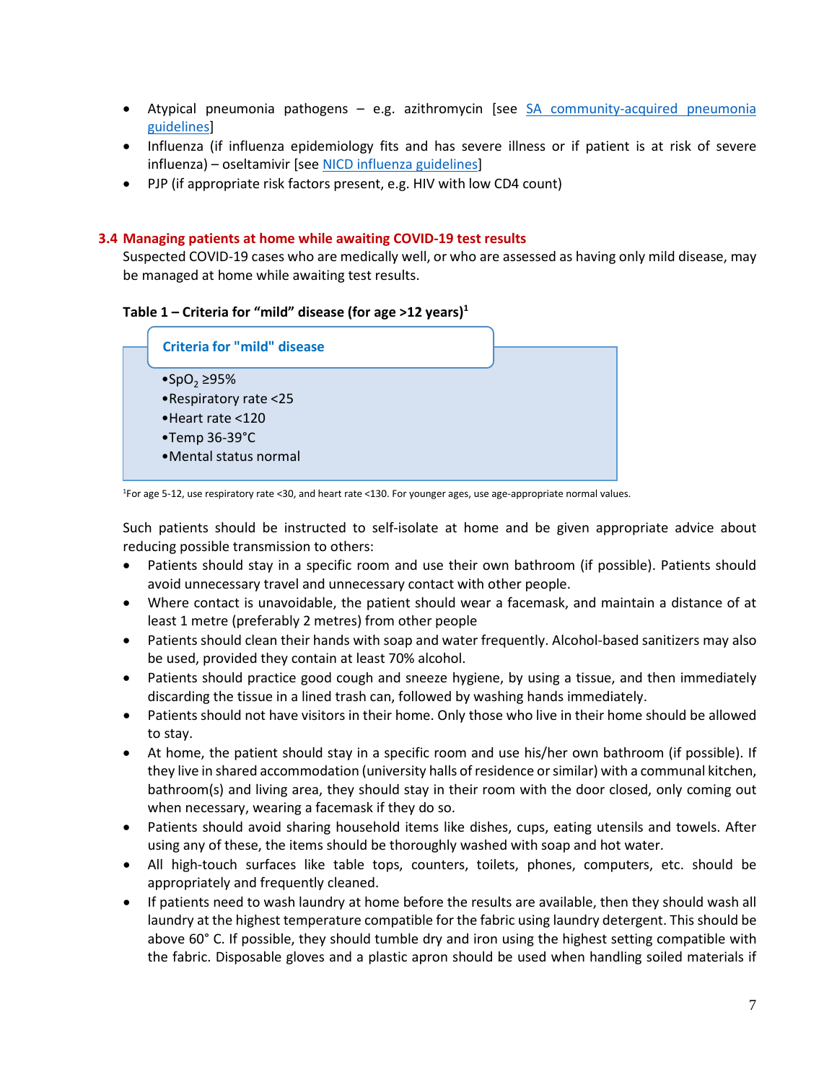- Atypical pneumonia pathogens e.g. azithromycin [see [SA community-acquired pneumonia](https://www.fidssa.co.za/Content/Documents/Boyles-et-al-SA-CAP-Guideline-J-Thoracic-Diseases-2017.pdf)  [guidelines\]](https://www.fidssa.co.za/Content/Documents/Boyles-et-al-SA-CAP-Guideline-J-Thoracic-Diseases-2017.pdf)
- Influenza (if influenza epidemiology fits and has severe illness or if patient is at risk of severe influenza) – oseltamivir [see [NICD influenza guidelines\]](http://www.nicd.ac.za/wp-content/uploads/2017/03/Influenza-guidelines-rev_-23-April-2018.pdf)
- PJP (if appropriate risk factors present, e.g. HIV with low CD4 count)

#### **3.4 Managing patients at home while awaiting COVID-19 test results**

Suspected COVID-19 cases who are medically well, or who are assessed as having only mild disease, may be managed at home while awaiting test results.

#### **Table 1 – Criteria for "mild" disease (for age >12 years) 1**



1For age 5-12, use respiratory rate <30, and heart rate <130. For younger ages, use age-appropriate normal values.

Such patients should be instructed to self-isolate at home and be given appropriate advice about reducing possible transmission to others:

- Patients should stay in a specific room and use their own bathroom (if possible). Patients should avoid unnecessary travel and unnecessary contact with other people.
- Where contact is unavoidable, the patient should wear a facemask, and maintain a distance of at least 1 metre (preferably 2 metres) from other people
- Patients should clean their hands with soap and water frequently. Alcohol-based sanitizers may also be used, provided they contain at least 70% alcohol.
- Patients should practice good cough and sneeze hygiene, by using a tissue, and then immediately discarding the tissue in a lined trash can, followed by washing hands immediately.
- Patients should not have visitors in their home. Only those who live in their home should be allowed to stay.
- At home, the patient should stay in a specific room and use his/her own bathroom (if possible). If they live in shared accommodation (university halls of residence or similar) with a communal kitchen, bathroom(s) and living area, they should stay in their room with the door closed, only coming out when necessary, wearing a facemask if they do so.
- Patients should avoid sharing household items like dishes, cups, eating utensils and towels. After using any of these, the items should be thoroughly washed with soap and hot water.
- All high-touch surfaces like table tops, counters, toilets, phones, computers, etc. should be appropriately and frequently cleaned.
- If patients need to wash laundry at home before the results are available, then they should wash all laundry at the highest temperature compatible for the fabric using laundry detergent. This should be above 60° C. If possible, they should tumble dry and iron using the highest setting compatible with the fabric. Disposable gloves and a plastic apron should be used when handling soiled materials if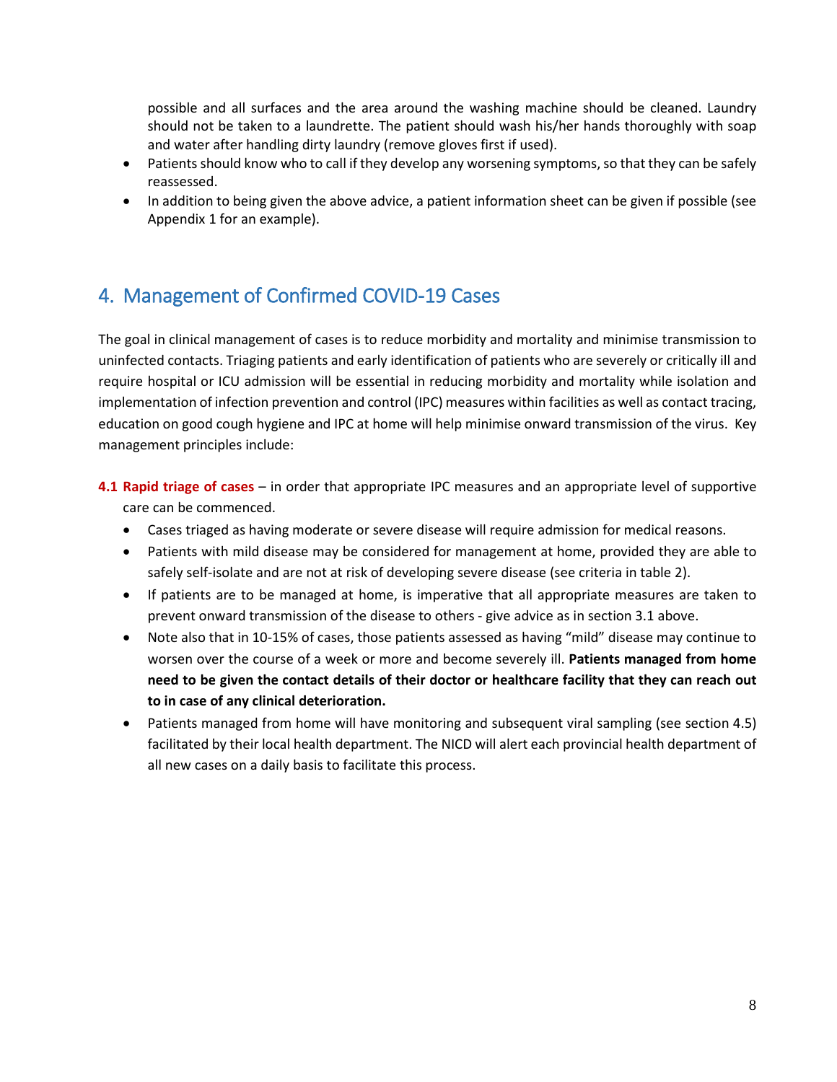possible and all surfaces and the area around the washing machine should be cleaned. Laundry should not be taken to a laundrette. The patient should wash his/her hands thoroughly with soap and water after handling dirty laundry (remove gloves first if used).

- Patients should know who to call if they develop any worsening symptoms, so that they can be safely reassessed.
- In addition to being given the above advice, a patient information sheet can be given if possible (see Appendix 1 for an example).

## <span id="page-7-0"></span>4. Management of Confirmed COVID-19 Cases

The goal in clinical management of cases is to reduce morbidity and mortality and minimise transmission to uninfected contacts. Triaging patients and early identification of patients who are severely or critically ill and require hospital or ICU admission will be essential in reducing morbidity and mortality while isolation and implementation of infection prevention and control (IPC) measures within facilities as well as contact tracing, education on good cough hygiene and IPC at home will help minimise onward transmission of the virus. Key management principles include:

- **4.1 Rapid triage of cases** in order that appropriate IPC measures and an appropriate level of supportive care can be commenced.
	- Cases triaged as having moderate or severe disease will require admission for medical reasons.
	- Patients with mild disease may be considered for management at home, provided they are able to safely self-isolate and are not at risk of developing severe disease (see criteria in table 2).
	- If patients are to be managed at home, is imperative that all appropriate measures are taken to prevent onward transmission of the disease to others - give advice as in section 3.1 above.
	- Note also that in 10-15% of cases, those patients assessed as having "mild" disease may continue to worsen over the course of a week or more and become severely ill. **Patients managed from home need to be given the contact details of their doctor or healthcare facility that they can reach out to in case of any clinical deterioration.**
	- Patients managed from home will have monitoring and subsequent viral sampling (see section 4.5) facilitated by their local health department. The NICD will alert each provincial health department of all new cases on a daily basis to facilitate this process.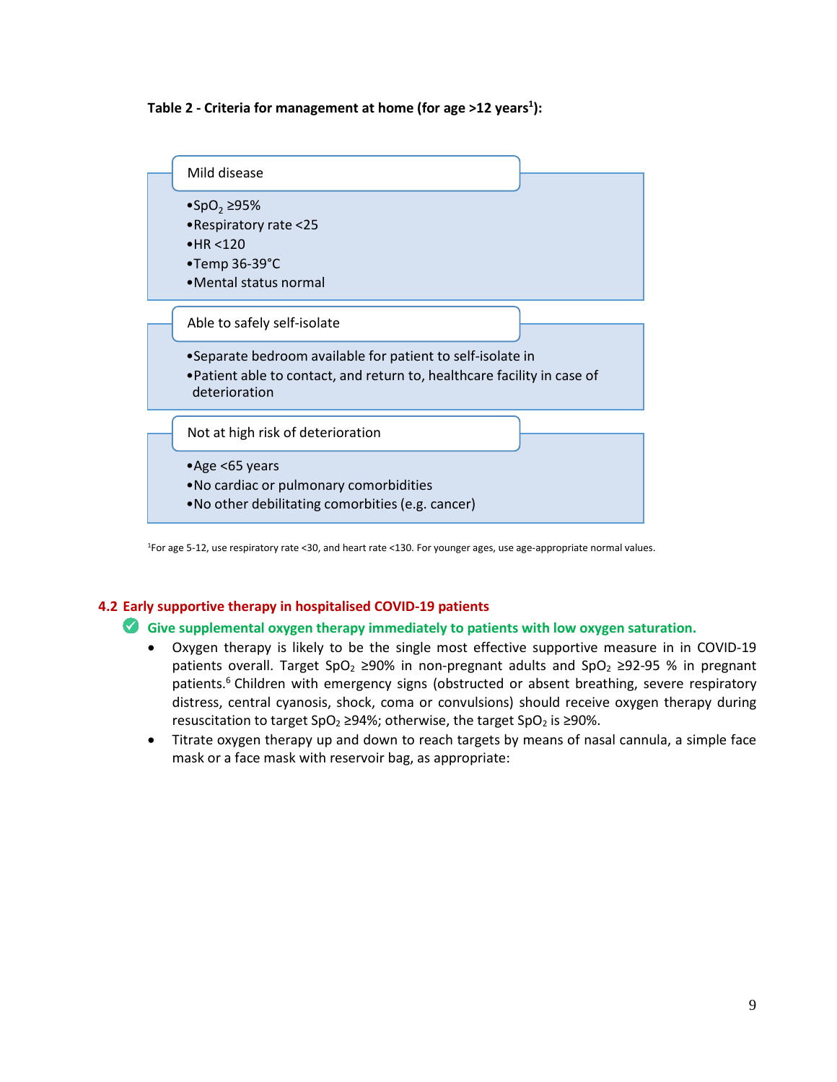



<sup>1</sup> For age 5-12, use respiratory rate <30, and heart rate <130. For younger ages, use age-appropriate normal values.

#### **4.2 Early supportive therapy in hospitalised COVID-19 patients**

#### **Give supplemental oxygen therapy immediately to patients with low oxygen saturation.**

- Oxygen therapy is likely to be the single most effective supportive measure in in COVID-19 patients overall. Target SpO<sub>2</sub> ≥90% in non-pregnant adults and SpO<sub>2</sub> ≥92-95 % in pregnant patients.<sup>6</sup> Children with emergency signs (obstructed or absent breathing, severe respiratory distress, central cyanosis, shock, coma or convulsions) should receive oxygen therapy during resuscitation to target SpO<sub>2</sub> ≥94%; otherwise, the target SpO<sub>2</sub> is ≥90%.
- Titrate oxygen therapy up and down to reach targets by means of nasal cannula, a simple face mask or a face mask with reservoir bag, as appropriate: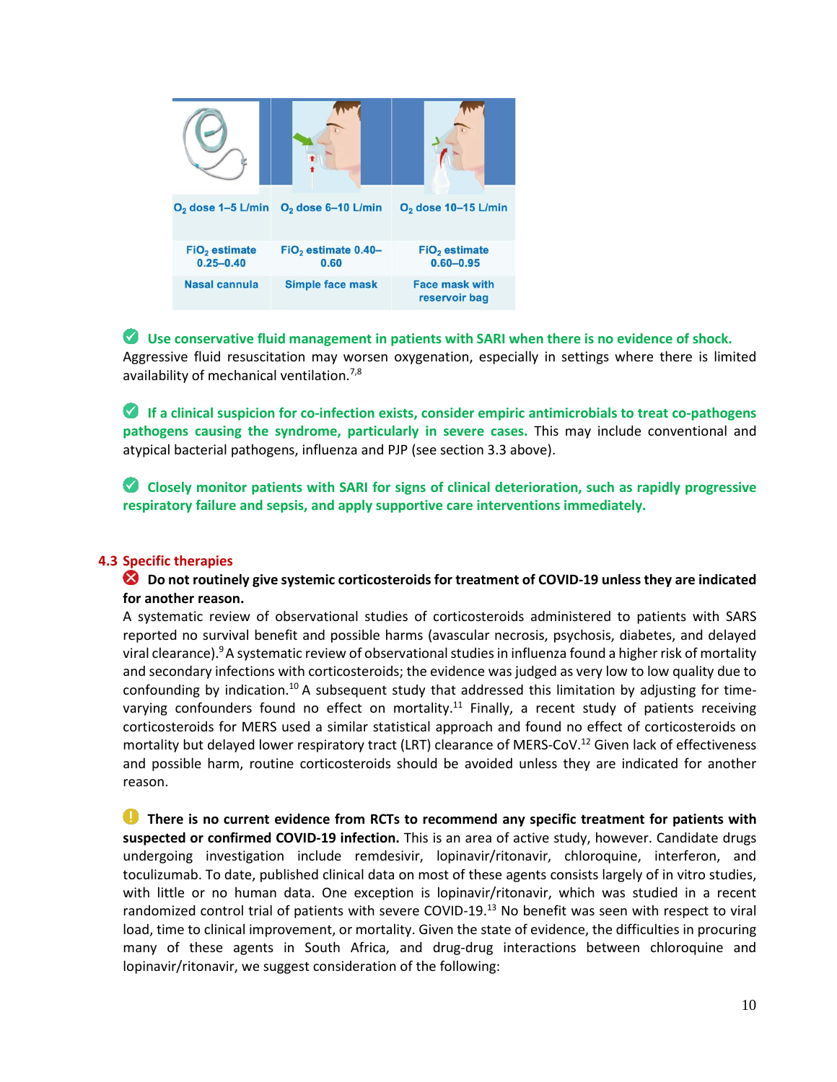

**Use conservative fluid management in patients with SARI when there is no evidence of shock.**  Aggressive fluid resuscitation may worsen oxygenation, especially in settings where there is limited availability of mechanical ventilation.<sup>7,8</sup>

**If a clinical suspicion for co-infection exists, consider empiric antimicrobials to treat co-pathogens pathogens causing the syndrome, particularly in severe cases.** This may include conventional and atypical bacterial pathogens, influenza and PJP (see section 3.3 above).

**Closely monitor patients with SARI for signs of clinical deterioration, such as rapidly progressive respiratory failure and sepsis, and apply supportive care interventions immediately.** 

#### **4.3 Specific therapies**

#### **Do not routinely give systemic corticosteroids for treatment of COVID-19 unless they are indicated for another reason.**

A systematic review of observational studies of corticosteroids administered to patients with SARS reported no survival benefit and possible harms (avascular necrosis, psychosis, diabetes, and delayed viral clearance).<sup>9</sup>A systematic review of observational studies in influenza found a higher risk of mortality and secondary infections with corticosteroids; the evidence was judged as very low to low quality due to confounding by indication.10 A subsequent study that addressed this limitation by adjusting for timevarying confounders found no effect on mortality.<sup>11</sup> Finally, a recent study of patients receiving corticosteroids for MERS used a similar statistical approach and found no effect of corticosteroids on mortality but delayed lower respiratory tract (LRT) clearance of MERS-CoV.<sup>12</sup> Given lack of effectiveness and possible harm, routine corticosteroids should be avoided unless they are indicated for another reason.

**There is no current evidence from RCTs to recommend any specific treatment for patients with suspected or confirmed COVID-19 infection.** This is an area of active study, however. Candidate drugs undergoing investigation include remdesivir, lopinavir/ritonavir, chloroquine, interferon, and toculizumab. To date, published clinical data on most of these agents consists largely of in vitro studies, with little or no human data. One exception is lopinavir/ritonavir, which was studied in a recent randomized control trial of patients with severe COVID-19.<sup>13</sup> No benefit was seen with respect to viral load, time to clinical improvement, or mortality. Given the state of evidence, the difficulties in procuring many of these agents in South Africa, and drug-drug interactions between chloroquine and lopinavir/ritonavir, we suggest consideration of the following: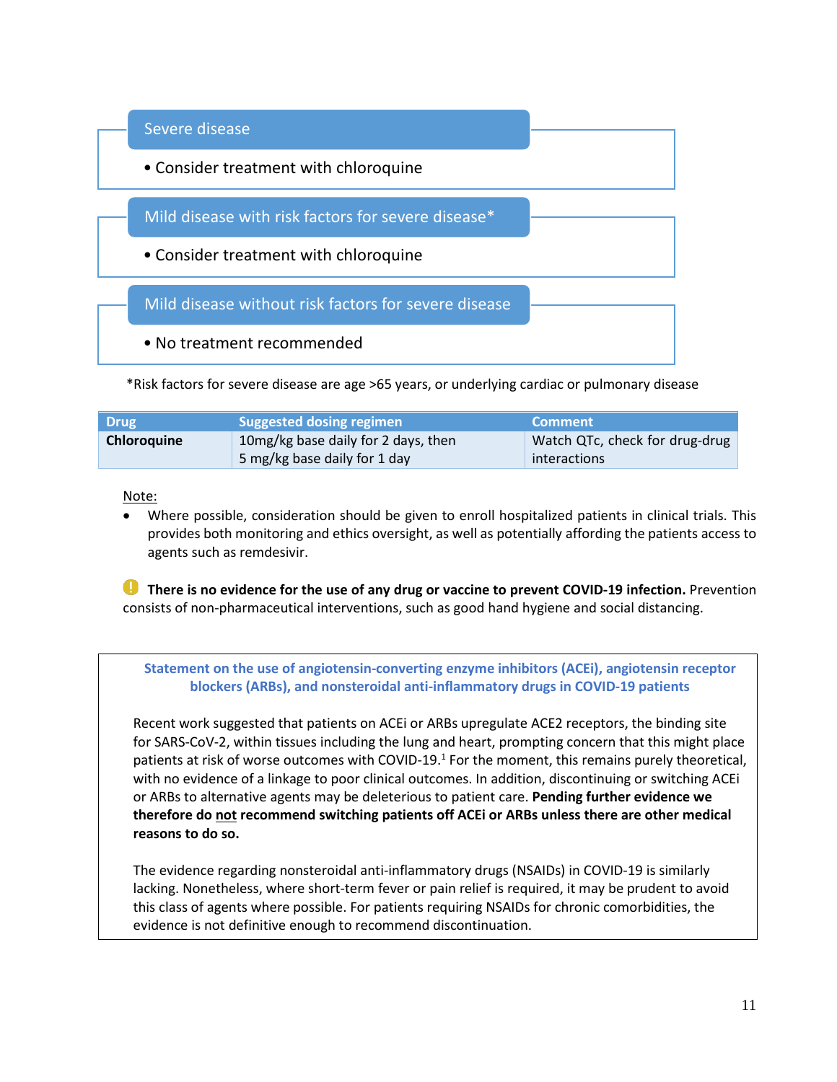

\*Risk factors for severe disease are age >65 years, or underlying cardiac or pulmonary disease

| <b>Drug</b> | <b>Suggested dosing regimen</b>                                     | LComment'                                      |
|-------------|---------------------------------------------------------------------|------------------------------------------------|
| Chloroquine | 10mg/kg base daily for 2 days, then<br>5 mg/kg base daily for 1 day | Watch QTc, check for drug-drug<br>interactions |

#### Note:

• Where possible, consideration should be given to enroll hospitalized patients in clinical trials. This provides both monitoring and ethics oversight, as well as potentially affording the patients access to agents such as remdesivir.

**There is no evidence for the use of any drug or vaccine to prevent COVID-19 infection.** Prevention consists of non-pharmaceutical interventions, such as good hand hygiene and social distancing.

**Statement on the use of angiotensin-converting enzyme inhibitors (ACEi), angiotensin receptor blockers (ARBs), and nonsteroidal anti-inflammatory drugs in COVID-19 patients** 

Recent work suggested that patients on ACEi or ARBs upregulate ACE2 receptors, the binding site for SARS-CoV-2, within tissues including the lung and heart, prompting concern that this might place patients at risk of worse outcomes with COVID-19.<sup>1</sup> For the moment, this remains purely theoretical, with no evidence of a linkage to poor clinical outcomes. In addition, discontinuing or switching ACEi or ARBs to alternative agents may be deleterious to patient care. **Pending further evidence we therefore do not recommend switching patients off ACEi or ARBs unless there are other medical reasons to do so.**

The evidence regarding nonsteroidal anti-inflammatory drugs (NSAIDs) in COVID-19 is similarly lacking. Nonetheless, where short-term fever or pain relief is required, it may be prudent to avoid this class of agents where possible. For patients requiring NSAIDs for chronic comorbidities, the evidence is not definitive enough to recommend discontinuation.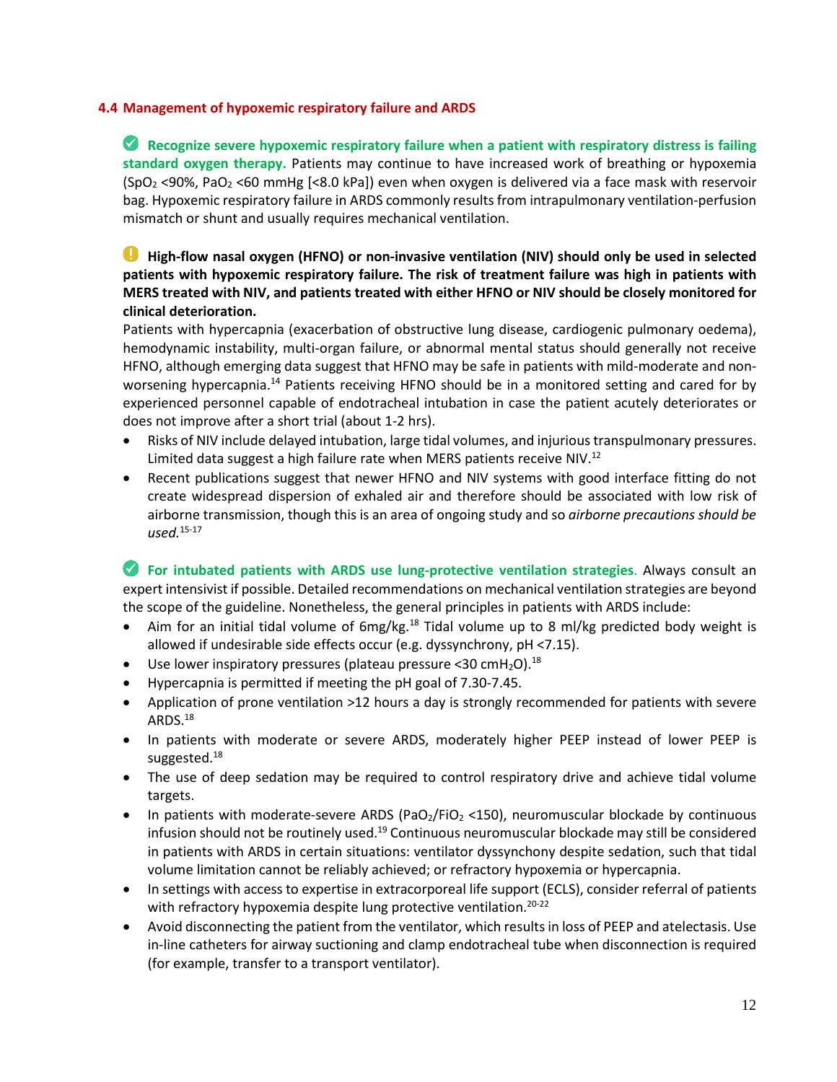#### **4.4 Management of hypoxemic respiratory failure and ARDS**

**Recognize severe hypoxemic respiratory failure when a patient with respiratory distress is failing standard oxygen therapy.** Patients may continue to have increased work of breathing or hypoxemia (SpO<sub>2</sub> <90%, PaO<sub>2</sub> <60 mmHg [<8.0 kPa]) even when oxygen is delivered via a face mask with reservoir bag. Hypoxemic respiratory failure in ARDS commonly results from intrapulmonary ventilation-perfusion mismatch or shunt and usually requires mechanical ventilation.

#### O. **High-flow nasal oxygen (HFNO) or non-invasive ventilation (NIV) should only be used in selected patients with hypoxemic respiratory failure. The risk of treatment failure was high in patients with MERS treated with NIV, and patients treated with either HFNO or NIV should be closely monitored for clinical deterioration.**

Patients with hypercapnia (exacerbation of obstructive lung disease, cardiogenic pulmonary oedema), hemodynamic instability, multi-organ failure, or abnormal mental status should generally not receive HFNO, although emerging data suggest that HFNO may be safe in patients with mild-moderate and nonworsening hypercapnia.<sup>14</sup> Patients receiving HFNO should be in a monitored setting and cared for by experienced personnel capable of endotracheal intubation in case the patient acutely deteriorates or does not improve after a short trial (about 1-2 hrs).

- Risks of NIV include delayed intubation, large tidal volumes, and injurious transpulmonary pressures. Limited data suggest a high failure rate when MERS patients receive NIV.<sup>12</sup>
- Recent publications suggest that newer HFNO and NIV systems with good interface fitting do not create widespread dispersion of exhaled air and therefore should be associated with low risk of airborne transmission, though this is an area of ongoing study and so *airborne precautions should be used.* 15-17

**For intubated patients with ARDS use lung-protective ventilation strategies**. Always consult an expert intensivist if possible. Detailed recommendations on mechanical ventilation strategies are beyond the scope of the guideline. Nonetheless, the general principles in patients with ARDS include:

- Aim for an initial tidal volume of  $6mg/kg<sup>18</sup>$  Tidal volume up to 8 ml/kg predicted body weight is allowed if undesirable side effects occur (e.g. dyssynchrony, pH <7.15).
- Use lower inspiratory pressures (plateau pressure <30 cmH<sub>2</sub>O).<sup>18</sup>
- Hypercapnia is permitted if meeting the pH goal of 7.30-7.45.
- Application of prone ventilation >12 hours a day is strongly recommended for patients with severe ARDS.18
- In patients with moderate or severe ARDS, moderately higher PEEP instead of lower PEEP is suggested.<sup>18</sup>
- The use of deep sedation may be required to control respiratory drive and achieve tidal volume targets.
- In patients with moderate-severe ARDS (PaO<sub>2</sub>/FiO<sub>2</sub> <150), neuromuscular blockade by continuous infusion should not be routinely used.<sup>19</sup> Continuous neuromuscular blockade may still be considered in patients with ARDS in certain situations: ventilator dyssynchony despite sedation, such that tidal volume limitation cannot be reliably achieved; or refractory hypoxemia or hypercapnia.
- In settings with access to expertise in extracorporeal life support (ECLS), consider referral of patients with refractory hypoxemia despite lung protective ventilation.<sup>20-22</sup>
- Avoid disconnecting the patient from the ventilator, which results in loss of PEEP and atelectasis. Use in-line catheters for airway suctioning and clamp endotracheal tube when disconnection is required (for example, transfer to a transport ventilator).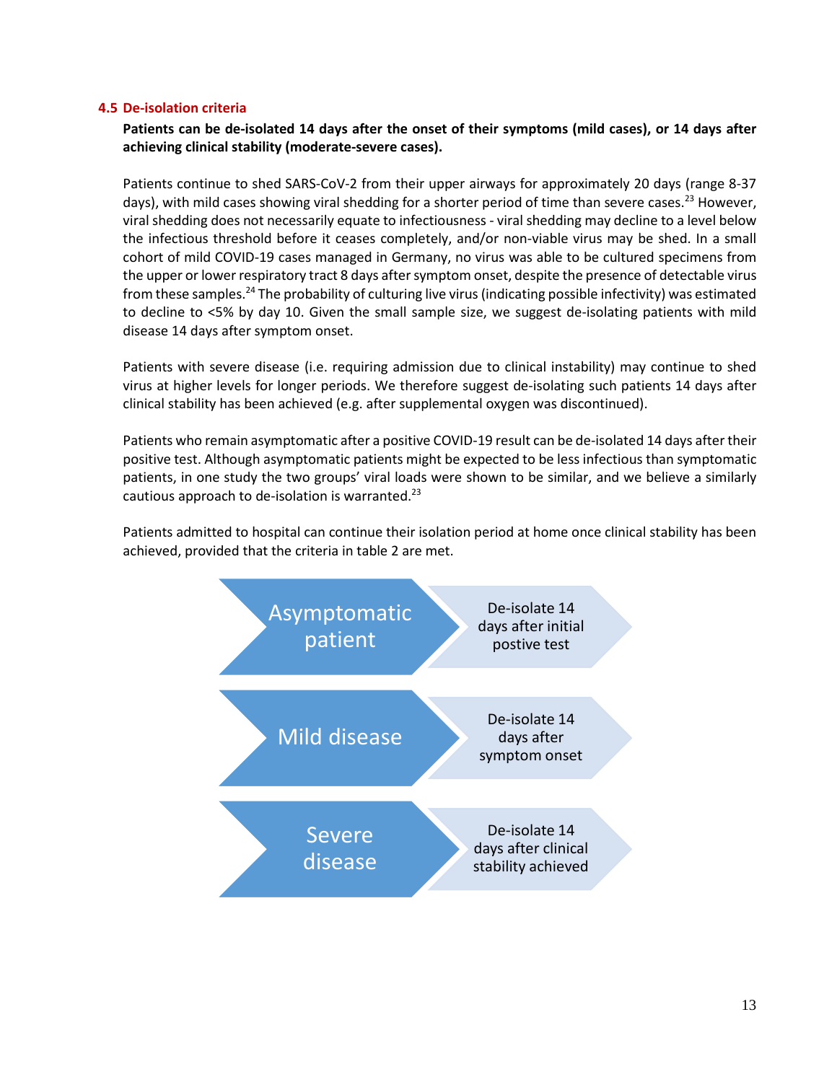#### **4.5 De-isolation criteria**

**Patients can be de-isolated 14 days after the onset of their symptoms (mild cases), or 14 days after achieving clinical stability (moderate-severe cases).**

Patients continue to shed SARS-CoV-2 from their upper airways for approximately 20 days (range 8-37 days), with mild cases showing viral shedding for a shorter period of time than severe cases.<sup>23</sup> However, viral shedding does not necessarily equate to infectiousness - viral shedding may decline to a level below the infectious threshold before it ceases completely, and/or non-viable virus may be shed. In a small cohort of mild COVID-19 cases managed in Germany, no virus was able to be cultured specimens from the upper or lower respiratory tract 8 days after symptom onset, despite the presence of detectable virus from these samples.24 The probability of culturing live virus (indicating possible infectivity) was estimated to decline to <5% by day 10. Given the small sample size, we suggest de-isolating patients with mild disease 14 days after symptom onset.

Patients with severe disease (i.e. requiring admission due to clinical instability) may continue to shed virus at higher levels for longer periods. We therefore suggest de-isolating such patients 14 days after clinical stability has been achieved (e.g. after supplemental oxygen was discontinued).

Patients who remain asymptomatic after a positive COVID-19 result can be de-isolated 14 days after their positive test. Although asymptomatic patients might be expected to be less infectious than symptomatic patients, in one study the two groups' viral loads were shown to be similar, and we believe a similarly cautious approach to de-isolation is warranted.<sup>23</sup>

Patients admitted to hospital can continue their isolation period at home once clinical stability has been achieved, provided that the criteria in table 2 are met.

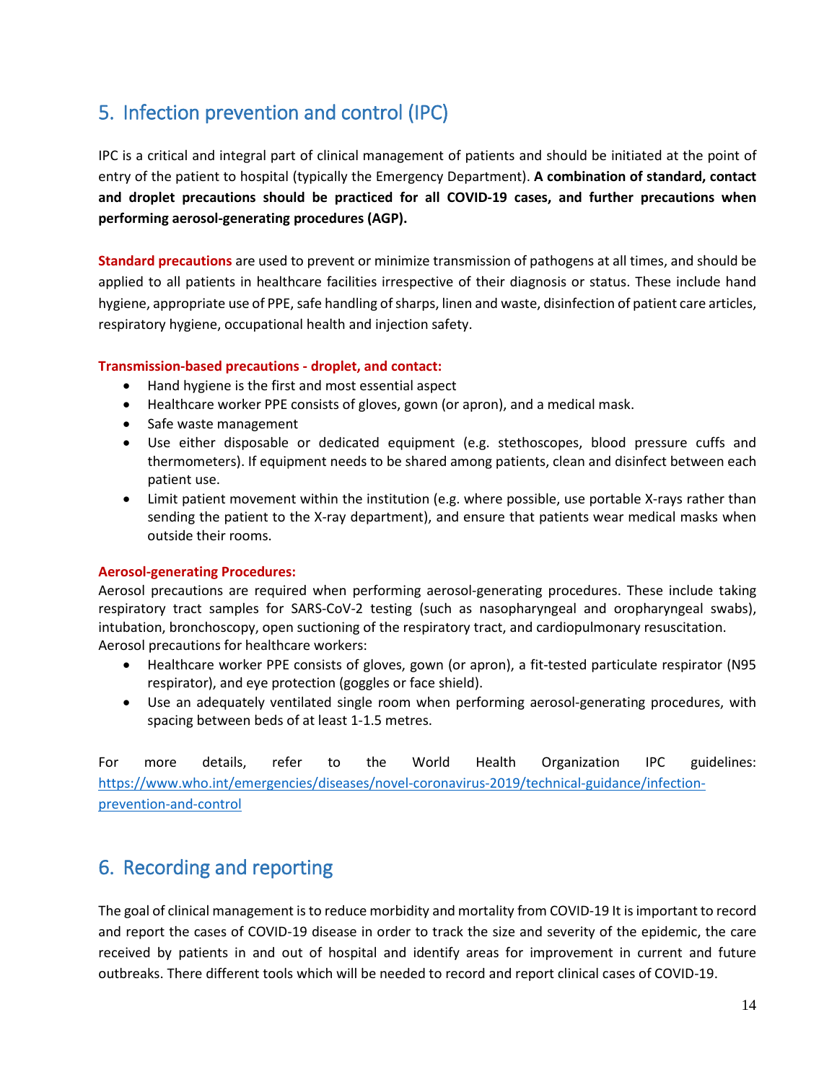## <span id="page-13-0"></span>5. Infection prevention and control (IPC)

IPC is a critical and integral part of clinical management of patients and should be initiated at the point of entry of the patient to hospital (typically the Emergency Department). **A combination of standard, contact and droplet precautions should be practiced for all COVID-19 cases, and further precautions when performing aerosol-generating procedures (AGP).** 

**Standard precautions** are used to prevent or minimize transmission of pathogens at all times, and should be applied to all patients in healthcare facilities irrespective of their diagnosis or status. These include hand hygiene, appropriate use of PPE, safe handling of sharps, linen and waste, disinfection of patient care articles, respiratory hygiene, occupational health and injection safety.

#### **Transmission-based precautions - droplet, and contact:**

- Hand hygiene is the first and most essential aspect
- Healthcare worker PPE consists of gloves, gown (or apron), and a medical mask.
- Safe waste management
- Use either disposable or dedicated equipment (e.g. stethoscopes, blood pressure cuffs and thermometers). If equipment needs to be shared among patients, clean and disinfect between each patient use.
- Limit patient movement within the institution (e.g. where possible, use portable X-rays rather than sending the patient to the X-ray department), and ensure that patients wear medical masks when outside their rooms.

#### **Aerosol-generating Procedures:**

Aerosol precautions are required when performing aerosol-generating procedures. These include taking respiratory tract samples for SARS-CoV-2 testing (such as nasopharyngeal and oropharyngeal swabs), intubation, bronchoscopy, open suctioning of the respiratory tract, and cardiopulmonary resuscitation. Aerosol precautions for healthcare workers:

- Healthcare worker PPE consists of gloves, gown (or apron), a fit-tested particulate respirator (N95 respirator), and eye protection (goggles or face shield).
- Use an adequately ventilated single room when performing aerosol-generating procedures, with spacing between beds of at least 1-1.5 metres.

For more details, refer to the World Health Organization IPC guidelines: [https://www.who.int/emergencies/diseases/novel-coronavirus-2019/technical-guidance/infection](https://www.who.int/emergencies/diseases/novel-coronavirus-2019/technical-guidance/infection-prevention-and-control)[prevention-and-control](https://www.who.int/emergencies/diseases/novel-coronavirus-2019/technical-guidance/infection-prevention-and-control)

### <span id="page-13-1"></span>6. Recording and reporting

The goal of clinical management is to reduce morbidity and mortality from COVID-19 It is important to record and report the cases of COVID-19 disease in order to track the size and severity of the epidemic, the care received by patients in and out of hospital and identify areas for improvement in current and future outbreaks. There different tools which will be needed to record and report clinical cases of COVID-19.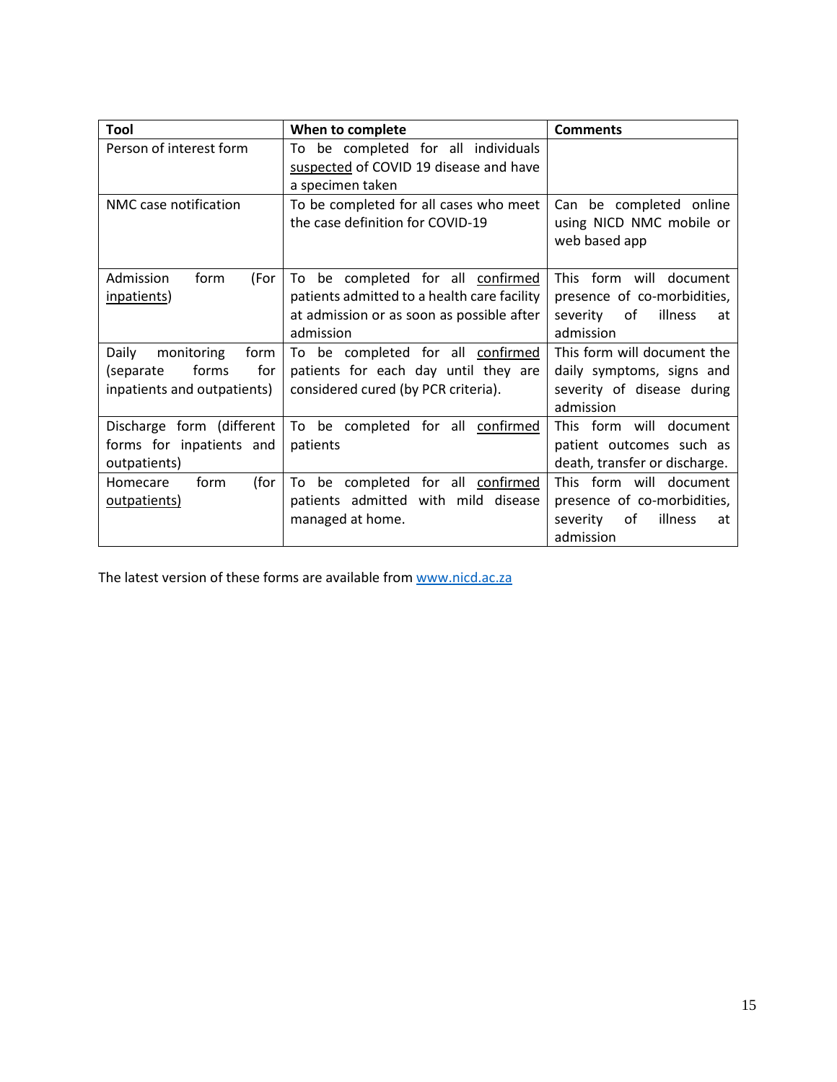| Tool                                                                                    | When to complete                                                                                                                           | <b>Comments</b>                                                                                                  |
|-----------------------------------------------------------------------------------------|--------------------------------------------------------------------------------------------------------------------------------------------|------------------------------------------------------------------------------------------------------------------|
| Person of interest form                                                                 | To be completed for all individuals<br>suspected of COVID 19 disease and have<br>a specimen taken                                          |                                                                                                                  |
| NMC case notification                                                                   | To be completed for all cases who meet<br>the case definition for COVID-19                                                                 | Can be completed online<br>using NICD NMC mobile or<br>web based app                                             |
| form<br>Admission<br>(For<br>inpatients)                                                | To be completed for all confirmed<br>patients admitted to a health care facility<br>at admission or as soon as possible after<br>admission | form will document<br><b>This</b><br>presence of co-morbidities,<br>of<br>illness<br>severity<br>at<br>admission |
| Daily<br>form<br>monitoring<br>forms<br>for<br>(separate<br>inpatients and outpatients) | To be completed for all confirmed<br>patients for each day until they are<br>considered cured (by PCR criteria).                           | This form will document the<br>daily symptoms, signs and<br>severity of disease during<br>admission              |
| Discharge form (different<br>forms for inpatients and<br>outpatients)                   | To be completed for all<br>confirmed<br>patients                                                                                           | This form will document<br>patient outcomes such as<br>death, transfer or discharge.                             |
| form<br>(for<br>Homecare<br>outpatients)                                                | To be completed for all confirmed<br>patients admitted with mild disease<br>managed at home.                                               | This form will document<br>presence of co-morbidities,<br>of<br>illness<br>severity<br>at<br>admission           |

The latest version of these forms are available fro[m www.nicd.ac.za](http://www.nicd.ac.za/)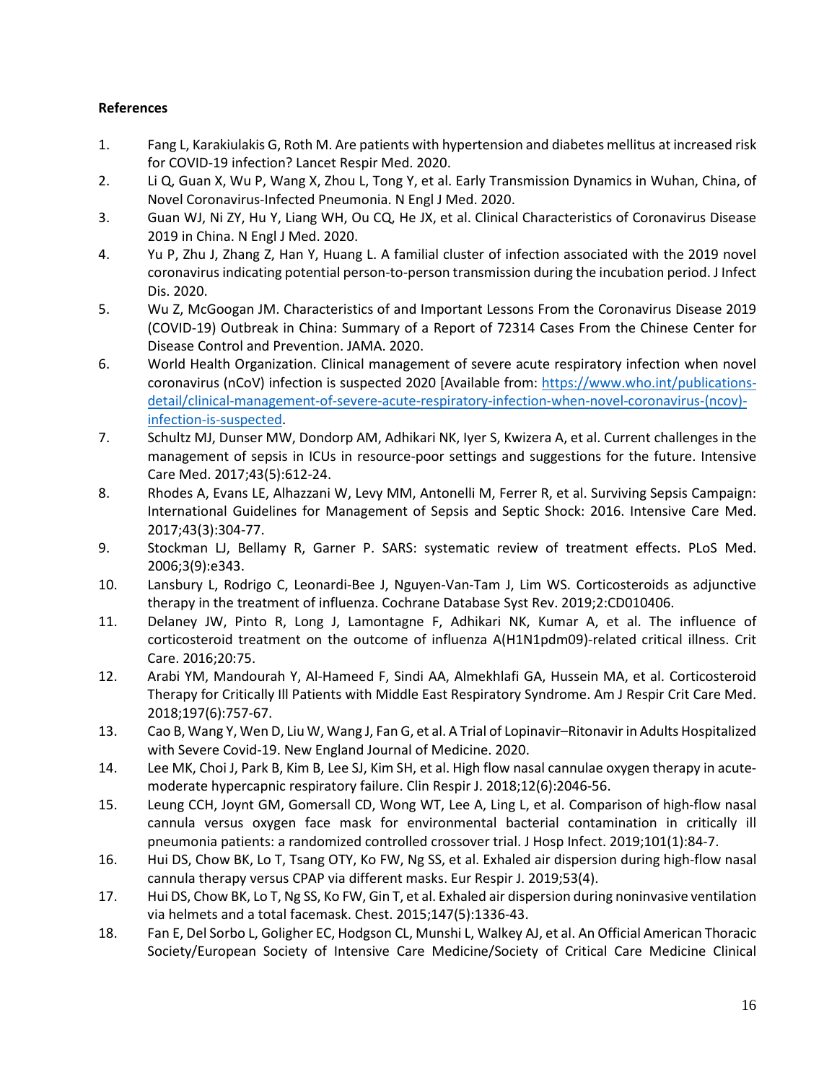#### **References**

- 1. Fang L, Karakiulakis G, Roth M. Are patients with hypertension and diabetes mellitus at increased risk for COVID-19 infection? Lancet Respir Med. 2020.
- 2. Li Q, Guan X, Wu P, Wang X, Zhou L, Tong Y, et al. Early Transmission Dynamics in Wuhan, China, of Novel Coronavirus-Infected Pneumonia. N Engl J Med. 2020.
- 3. Guan WJ, Ni ZY, Hu Y, Liang WH, Ou CQ, He JX, et al. Clinical Characteristics of Coronavirus Disease 2019 in China. N Engl J Med. 2020.
- 4. Yu P, Zhu J, Zhang Z, Han Y, Huang L. A familial cluster of infection associated with the 2019 novel coronavirus indicating potential person-to-person transmission during the incubation period. J Infect Dis. 2020.
- 5. Wu Z, McGoogan JM. Characteristics of and Important Lessons From the Coronavirus Disease 2019 (COVID-19) Outbreak in China: Summary of a Report of 72314 Cases From the Chinese Center for Disease Control and Prevention. JAMA. 2020.
- 6. World Health Organization. Clinical management of severe acute respiratory infection when novel coronavirus (nCoV) infection is suspected 2020 [Available from: [https://www.who.int/publications](https://www.who.int/publications-detail/clinical-management-of-severe-acute-respiratory-infection-when-novel-coronavirus-(ncov)-infection-is-suspected)[detail/clinical-management-of-severe-acute-respiratory-infection-when-novel-coronavirus-\(ncov\)](https://www.who.int/publications-detail/clinical-management-of-severe-acute-respiratory-infection-when-novel-coronavirus-(ncov)-infection-is-suspected) [infection-is-suspected.](https://www.who.int/publications-detail/clinical-management-of-severe-acute-respiratory-infection-when-novel-coronavirus-(ncov)-infection-is-suspected)
- 7. Schultz MJ, Dunser MW, Dondorp AM, Adhikari NK, Iyer S, Kwizera A, et al. Current challenges in the management of sepsis in ICUs in resource-poor settings and suggestions for the future. Intensive Care Med. 2017;43(5):612-24.
- 8. Rhodes A, Evans LE, Alhazzani W, Levy MM, Antonelli M, Ferrer R, et al. Surviving Sepsis Campaign: International Guidelines for Management of Sepsis and Septic Shock: 2016. Intensive Care Med. 2017;43(3):304-77.
- 9. Stockman LJ, Bellamy R, Garner P. SARS: systematic review of treatment effects. PLoS Med. 2006;3(9):e343.
- 10. Lansbury L, Rodrigo C, Leonardi-Bee J, Nguyen-Van-Tam J, Lim WS. Corticosteroids as adjunctive therapy in the treatment of influenza. Cochrane Database Syst Rev. 2019;2:CD010406.
- 11. Delaney JW, Pinto R, Long J, Lamontagne F, Adhikari NK, Kumar A, et al. The influence of corticosteroid treatment on the outcome of influenza A(H1N1pdm09)-related critical illness. Crit Care. 2016;20:75.
- 12. Arabi YM, Mandourah Y, Al-Hameed F, Sindi AA, Almekhlafi GA, Hussein MA, et al. Corticosteroid Therapy for Critically Ill Patients with Middle East Respiratory Syndrome. Am J Respir Crit Care Med. 2018;197(6):757-67.
- 13. Cao B, Wang Y, Wen D, Liu W, Wang J, Fan G, et al. A Trial of Lopinavir–Ritonavir in Adults Hospitalized with Severe Covid-19. New England Journal of Medicine. 2020.
- 14. Lee MK, Choi J, Park B, Kim B, Lee SJ, Kim SH, et al. High flow nasal cannulae oxygen therapy in acutemoderate hypercapnic respiratory failure. Clin Respir J. 2018;12(6):2046-56.
- 15. Leung CCH, Joynt GM, Gomersall CD, Wong WT, Lee A, Ling L, et al. Comparison of high-flow nasal cannula versus oxygen face mask for environmental bacterial contamination in critically ill pneumonia patients: a randomized controlled crossover trial. J Hosp Infect. 2019;101(1):84-7.
- 16. Hui DS, Chow BK, Lo T, Tsang OTY, Ko FW, Ng SS, et al. Exhaled air dispersion during high-flow nasal cannula therapy versus CPAP via different masks. Eur Respir J. 2019;53(4).
- 17. Hui DS, Chow BK, Lo T, Ng SS, Ko FW, Gin T, et al. Exhaled air dispersion during noninvasive ventilation via helmets and a total facemask. Chest. 2015;147(5):1336-43.
- 18. Fan E, Del Sorbo L, Goligher EC, Hodgson CL, Munshi L, Walkey AJ, et al. An Official American Thoracic Society/European Society of Intensive Care Medicine/Society of Critical Care Medicine Clinical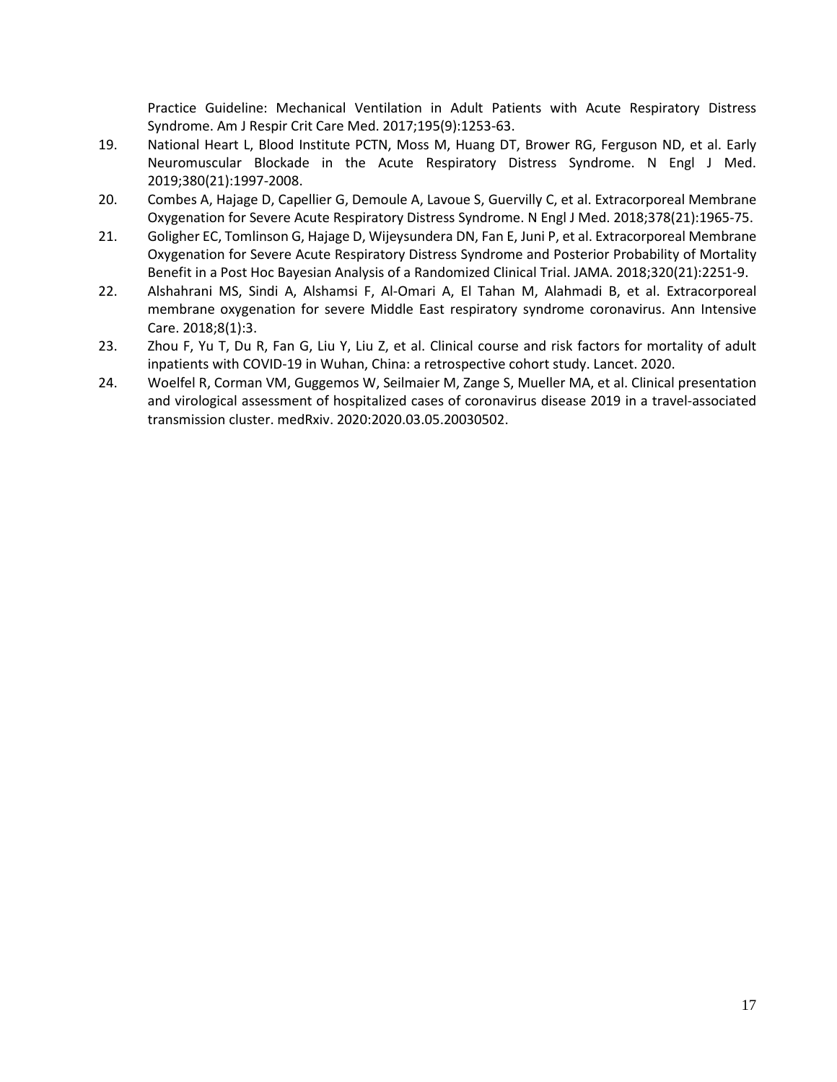Practice Guideline: Mechanical Ventilation in Adult Patients with Acute Respiratory Distress Syndrome. Am J Respir Crit Care Med. 2017;195(9):1253-63.

- 19. National Heart L, Blood Institute PCTN, Moss M, Huang DT, Brower RG, Ferguson ND, et al. Early Neuromuscular Blockade in the Acute Respiratory Distress Syndrome. N Engl J Med. 2019;380(21):1997-2008.
- 20. Combes A, Hajage D, Capellier G, Demoule A, Lavoue S, Guervilly C, et al. Extracorporeal Membrane Oxygenation for Severe Acute Respiratory Distress Syndrome. N Engl J Med. 2018;378(21):1965-75.
- 21. Goligher EC, Tomlinson G, Hajage D, Wijeysundera DN, Fan E, Juni P, et al. Extracorporeal Membrane Oxygenation for Severe Acute Respiratory Distress Syndrome and Posterior Probability of Mortality Benefit in a Post Hoc Bayesian Analysis of a Randomized Clinical Trial. JAMA. 2018;320(21):2251-9.
- 22. Alshahrani MS, Sindi A, Alshamsi F, Al-Omari A, El Tahan M, Alahmadi B, et al. Extracorporeal membrane oxygenation for severe Middle East respiratory syndrome coronavirus. Ann Intensive Care. 2018;8(1):3.
- 23. Zhou F, Yu T, Du R, Fan G, Liu Y, Liu Z, et al. Clinical course and risk factors for mortality of adult inpatients with COVID-19 in Wuhan, China: a retrospective cohort study. Lancet. 2020.
- 24. Woelfel R, Corman VM, Guggemos W, Seilmaier M, Zange S, Mueller MA, et al. Clinical presentation and virological assessment of hospitalized cases of coronavirus disease 2019 in a travel-associated transmission cluster. medRxiv. 2020:2020.03.05.20030502.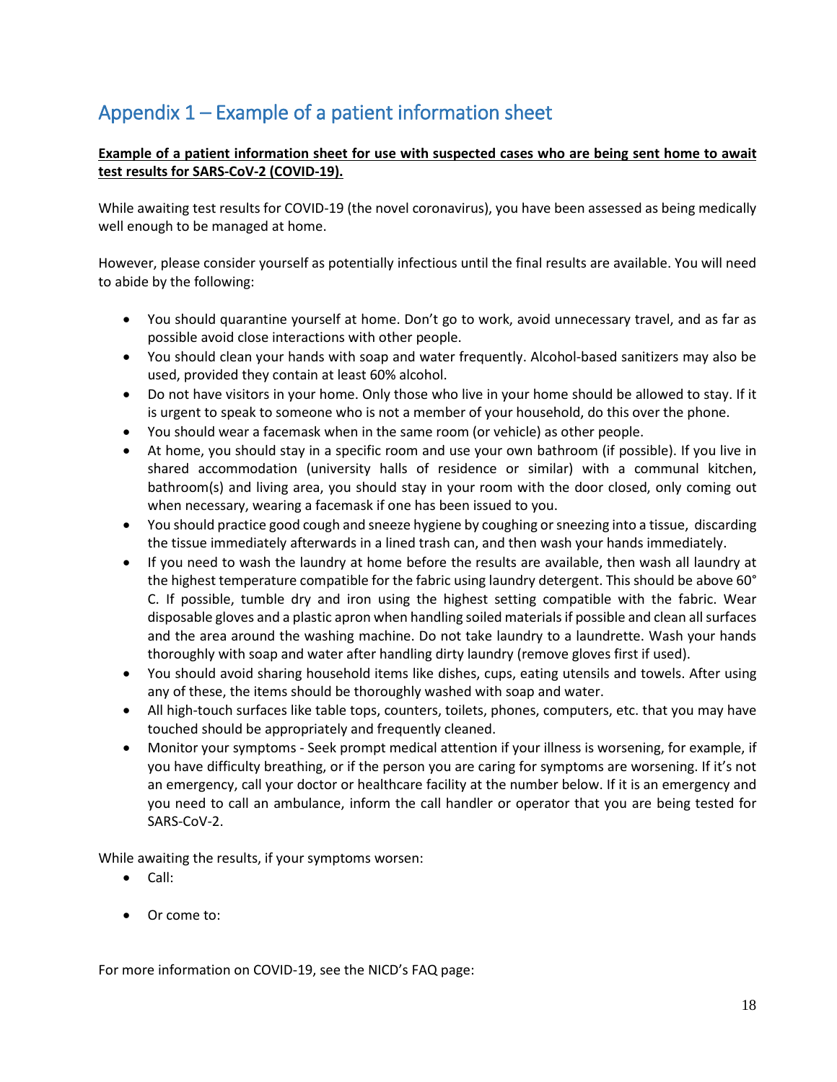## <span id="page-17-0"></span>Appendix 1 – Example of a patient information sheet

#### **Example of a patient information sheet for use with suspected cases who are being sent home to await test results for SARS-CoV-2 (COVID-19).**

While awaiting test results for COVID-19 (the novel coronavirus), you have been assessed as being medically well enough to be managed at home.

However, please consider yourself as potentially infectious until the final results are available. You will need to abide by the following:

- You should quarantine yourself at home. Don't go to work, avoid unnecessary travel, and as far as possible avoid close interactions with other people.
- You should clean your hands with soap and water frequently. Alcohol-based sanitizers may also be used, provided they contain at least 60% alcohol.
- Do not have visitors in your home. Only those who live in your home should be allowed to stay. If it is urgent to speak to someone who is not a member of your household, do this over the phone.
- You should wear a facemask when in the same room (or vehicle) as other people.
- At home, you should stay in a specific room and use your own bathroom (if possible). If you live in shared accommodation (university halls of residence or similar) with a communal kitchen, bathroom(s) and living area, you should stay in your room with the door closed, only coming out when necessary, wearing a facemask if one has been issued to you.
- You should practice good cough and sneeze hygiene by coughing or sneezing into a tissue, discarding the tissue immediately afterwards in a lined trash can, and then wash your hands immediately.
- If you need to wash the laundry at home before the results are available, then wash all laundry at the highest temperature compatible for the fabric using laundry detergent. This should be above 60° C. If possible, tumble dry and iron using the highest setting compatible with the fabric. Wear disposable gloves and a plastic apron when handling soiled materials if possible and clean all surfaces and the area around the washing machine. Do not take laundry to a laundrette. Wash your hands thoroughly with soap and water after handling dirty laundry (remove gloves first if used).
- You should avoid sharing household items like dishes, cups, eating utensils and towels. After using any of these, the items should be thoroughly washed with soap and water.
- All high-touch surfaces like table tops, counters, toilets, phones, computers, etc. that you may have touched should be appropriately and frequently cleaned.
- Monitor your symptoms Seek prompt medical attention if your illness is worsening, for example, if you have difficulty breathing, or if the person you are caring for symptoms are worsening. If it's not an emergency, call your doctor or healthcare facility at the number below. If it is an emergency and you need to call an ambulance, inform the call handler or operator that you are being tested for SARS-CoV-2.

While awaiting the results, if your symptoms worsen:

- Call:
- Or come to:

For more information on COVID-19, see the NICD's FAQ page: